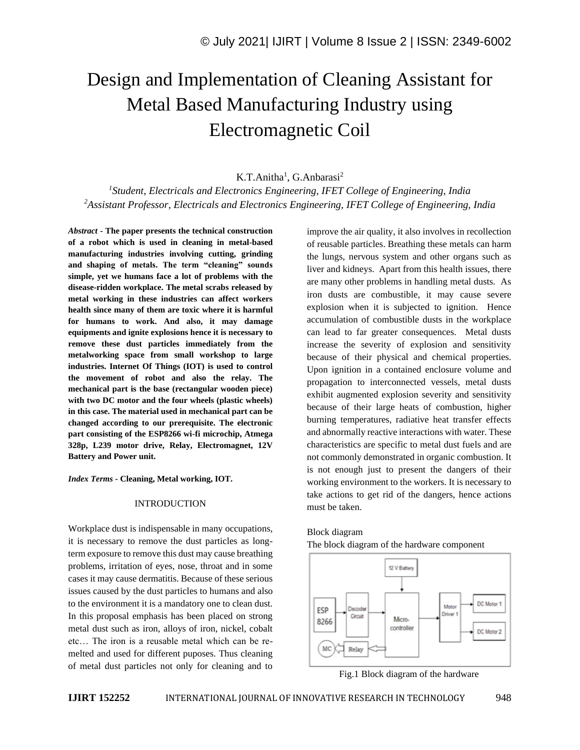# Design and Implementation of Cleaning Assistant for Metal Based Manufacturing Industry using Electromagnetic Coil

K.T.Anitha<sup>1</sup>, G.Anbarasi<sup>2</sup>

*1 Student, Electricals and Electronics Engineering, IFET College of Engineering, India <sup>2</sup>Assistant Professor, Electricals and Electronics Engineering, IFET College of Engineering, India*

*Abstract -* **The paper presents the technical construction of a robot which is used in cleaning in metal-based manufacturing industries involving cutting, grinding and shaping of metals. The term "cleaning" sounds simple, yet we humans face a lot of problems with the disease-ridden workplace. The metal scrabs released by metal working in these industries can affect workers health since many of them are toxic where it is harmful for humans to work. And also, it may damage equipments and ignite explosions hence it is necessary to remove these dust particles immediately from the metalworking space from small workshop to large industries. Internet Of Things (IOT) is used to control the movement of robot and also the relay. The mechanical part is the base (rectangular wooden piece) with two DC motor and the four wheels (plastic wheels) in this case. The material used in mechanical part can be changed according to our prerequisite. The electronic part consisting of the ESP8266 wi-fi microchip, Atmega 328p, L239 motor drive, Relay, Electromagnet, 12V Battery and Power unit.**

*Index Terms -* **Cleaning, Metal working, IOT.**

#### INTRODUCTION

Workplace dust is indispensable in many occupations, it is necessary to remove the dust particles as longterm exposure to remove this dust may cause breathing problems, irritation of eyes, nose, throat and in some cases it may cause dermatitis. Because of these serious issues caused by the dust particles to humans and also to the environment it is a mandatory one to clean dust. In this proposal emphasis has been placed on strong metal dust such as iron, alloys of iron, nickel, cobalt etc… The iron is a reusable metal which can be remelted and used for different puposes. Thus cleaning of metal dust particles not only for cleaning and to improve the air quality, it also involves in recollection of reusable particles. Breathing these metals can harm the lungs, nervous system and other organs such as liver and kidneys. Apart from this health issues, there are many other problems in handling metal dusts. As iron dusts are combustible, it may cause severe explosion when it is subjected to ignition. Hence accumulation of combustible dusts in the workplace can lead to far greater consequences. Metal dusts increase the severity of explosion and sensitivity because of their physical and chemical properties. Upon ignition in a contained enclosure volume and propagation to interconnected vessels, metal dusts exhibit augmented explosion severity and sensitivity because of their large heats of combustion, higher burning temperatures, radiative heat transfer effects and abnormally reactive interactions with water. These characteristics are specific to metal dust fuels and are not commonly demonstrated in organic combustion. It is not enough just to present the dangers of their working environment to the workers. It is necessary to take actions to get rid of the dangers, hence actions must be taken.

## Block diagram The block diagram of the hardware component



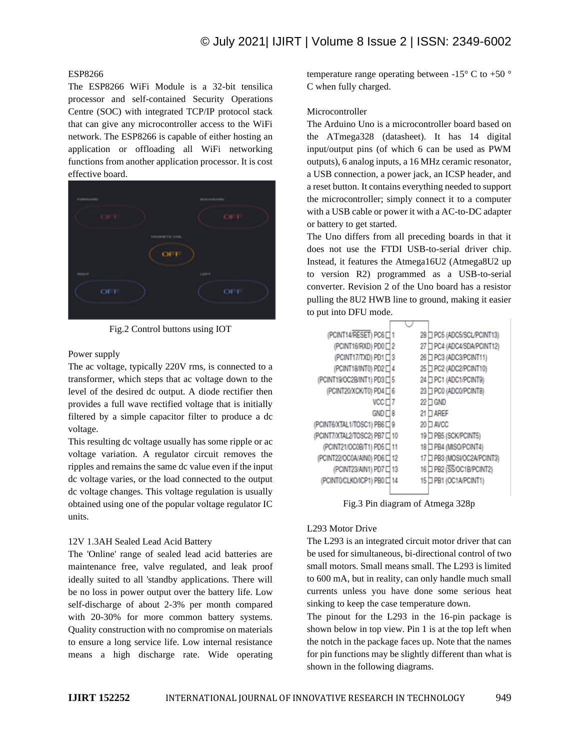# ESP8266

The ESP8266 WiFi Module is a 32-bit tensilica processor and self-contained Security Operations Centre (SOC) with integrated TCP/IP protocol stack that can give any microcontroller access to the WiFi network. The ESP8266 is capable of either hosting an application or offloading all WiFi networking functions from another application processor. It is cost effective board.



Fig.2 Control buttons using IOT

#### Power supply

The ac voltage, typically 220V rms, is connected to a transformer, which steps that ac voltage down to the level of the desired dc output. A diode rectifier then provides a full wave rectified voltage that is initially filtered by a simple capacitor filter to produce a dc voltage.

This resulting dc voltage usually has some ripple or ac voltage variation. A regulator circuit removes the ripples and remains the same dc value even if the input dc voltage varies, or the load connected to the output dc voltage changes. This voltage regulation is usually obtained using one of the popular voltage regulator IC units.

#### 12V 1.3AH Sealed Lead Acid Battery

The 'Online' range of sealed lead acid batteries are maintenance free, valve regulated, and leak proof ideally suited to all 'standby applications. There will be no loss in power output over the battery life. Low self-discharge of about 2-3% per month compared with 20-30% for more common battery systems. Quality construction with no compromise on materials to ensure a long service life. Low internal resistance means a high discharge rate. Wide operating

temperature range operating between  $-15^{\circ}$  C to  $+50^{\circ}$ C when fully charged.

## Microcontroller

The Arduino Uno is a microcontroller board based on the ATmega328 (datasheet). It has 14 digital input/output pins (of which 6 can be used as PWM outputs), 6 analog inputs, a 16 MHz ceramic resonator, a USB connection, a power jack, an ICSP header, and a reset button. It contains everything needed to support the microcontroller; simply connect it to a computer with a USB cable or power it with a AC-to-DC adapter or battery to get started.

The Uno differs from all preceding boards in that it does not use the FTDI USB-to-serial driver chip. Instead, it features the Atmega16U2 (Atmega8U2 up to version R2) programmed as a USB-to-serial converter. Revision 2 of the Uno board has a resistor pulling the 8U2 HWB line to ground, making it easier to put into DFU mode.

| (PCINT14/RESET) PC6□1             | 28 T PC5 (ADC5/SCL/PCINT13) |
|-----------------------------------|-----------------------------|
| (PCINT16/RXD) PD0□2               | 27 D PC4 (ADC4/SDA/PCINT12) |
| (PCINT17/TXD) PD1□3               | 26 O PC3 (ADC3/PCINT11)     |
| (PCINT18/INT0) PD2 <sup>1</sup> 4 | 25 PC2 (ADC2/PCINT10)       |
| (PCINT19/OC2B/INT1) PD3 [ 5       | 24 PC1 (ADC1/PCINT9)        |
| (PCINT20/XCK/T0) PD4 □ 6          | 23 D PC0 (ADC0/PCINT8)      |
| $VCC \Box 7$                      | 22 ∏ GND                    |
| $GND \sqcap 8$                    | 21 □ AREF                   |
| (PCINT6/XTAL1/TOSC1) PB6□9        | 20 □ AVCC                   |
| (PCINT7/XTAL2/TOSC2) PB7 C 10     | 19 D PB5 (SCK/PCINT5)       |
| (PCINT21/OC0B/T1) PD5 C 11        | 18 D PB4 (MISO/PCINT4)      |
| (PCINT22/OC0A/AIN0) PD6□12        | 17 D PB3 (MOSVOC2A/PCINT3)  |
| (PCINT23/AIN1) PD7 C 13           | 16 D PB2 (SS/OC1B/PCINT2)   |
| (PCINT0/CLKO/ICP1) PB0□14         | 15 D PB1 (OC1A/PCINT1)      |
|                                   |                             |

Fig.3 Pin diagram of Atmega 328p

## L293 Motor Drive

The L293 is an integrated circuit motor driver that can be used for simultaneous, bi-directional control of two small motors. Small means small. The L293 is limited to 600 mA, but in reality, can only handle much small currents unless you have done some serious heat sinking to keep the case temperature down.

The pinout for the L293 in the 16-pin package is shown below in top view. Pin 1 is at the top left when the notch in the package faces up. Note that the names for pin functions may be slightly different than what is shown in the following diagrams.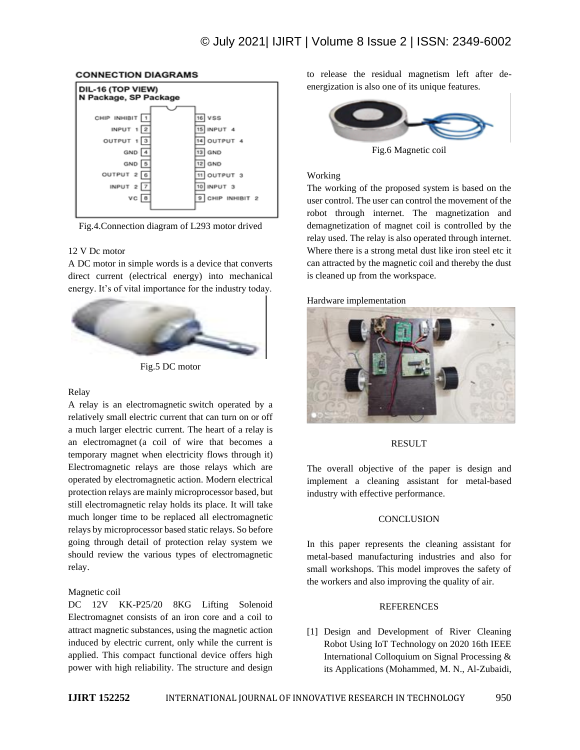

### **CONNECTION DIAGRAMS**

### Fig.4.Connection diagram of L293 motor drived

## 12 V Dc motor

A DC motor in simple words is a device that converts direct current (electrical energy) into mechanical energy. It's of vital importance for the industry today.



Fig.5 DC motor

### Relay

A relay is an electromagnetic switch operated by a relatively small electric current that can turn on or off a much larger electric current. The heart of a relay is an electromagnet (a coil of wire that becomes a temporary magnet when electricity flows through it) Electromagnetic relays are those relays which are operated by electromagnetic action. Modern electrical protection relays are mainly microprocessor based, but still electromagnetic relay holds its place. It will take much longer time to be replaced all electromagnetic relays by microprocessor based static relays. So before going through detail of protection relay system we should review the various types of electromagnetic relay.

# Magnetic coil

DC 12V KK-P25/20 8KG Lifting Solenoid Electromagnet consists of an iron core and a coil to attract magnetic substances, using the magnetic action induced by electric current, only while the current is applied. This compact functional device offers high power with high reliability. The structure and design

to release the residual magnetism left after deenergization is also one of its unique features.



Fig.6 Magnetic coil

### Working

The working of the proposed system is based on the user control. The user can control the movement of the robot through internet. The magnetization and demagnetization of magnet coil is controlled by the relay used. The relay is also operated through internet. Where there is a strong metal dust like iron steel etc it can attracted by the magnetic coil and thereby the dust is cleaned up from the workspace.

### Hardware implementation



### RESULT

The overall objective of the paper is design and implement a cleaning assistant for metal-based industry with effective performance.

## **CONCLUSION**

In this paper represents the cleaning assistant for metal-based manufacturing industries and also for small workshops. This model improves the safety of the workers and also improving the quality of air.

### REFERENCES

[1] Design and Development of River Cleaning Robot Using IoT Technology on 2020 16th IEEE International Colloquium on Signal Processing & its Applications (Mohammed, M. N., Al-Zubaidi,